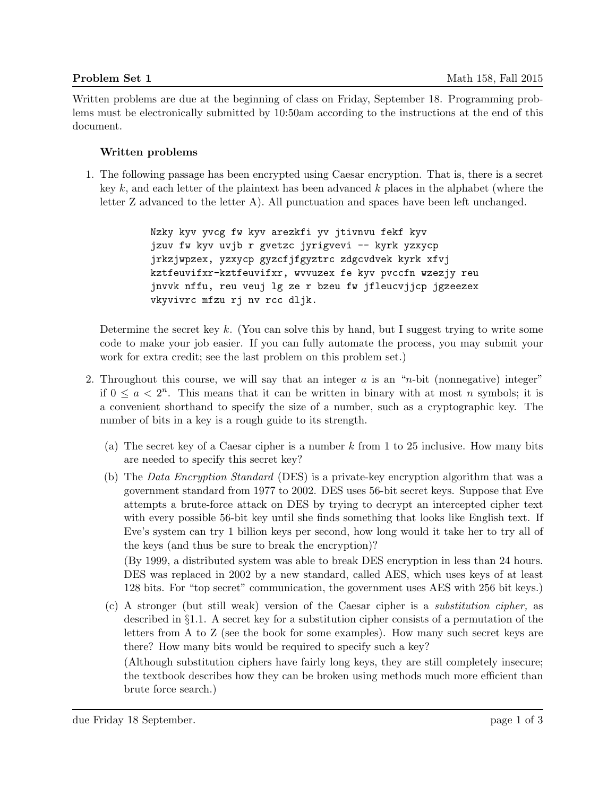Written problems are due at the beginning of class on Friday, September 18. Programming problems must be electronically submitted by 10:50am according to the instructions at the end of this document.

### Written problems

1. The following passage has been encrypted using Caesar encryption. That is, there is a secret key  $k$ , and each letter of the plaintext has been advanced  $k$  places in the alphabet (where the letter Z advanced to the letter A). All punctuation and spaces have been left unchanged.

> Nzky kyv yvcg fw kyv arezkfi yv jtivnvu fekf kyv jzuv fw kyv uvjb r gvetzc jyrigvevi -- kyrk yzxycp jrkzjwpzex, yzxycp gyzcfjfgyztrc zdgcvdvek kyrk xfvj kztfeuvifxr-kztfeuvifxr, wvvuzex fe kyv pvccfn wzezjy reu jnvvk nffu, reu veuj lg ze r bzeu fw jfleucvjjcp jgzeezex vkyvivrc mfzu rj nv rcc dljk.

Determine the secret key  $k$ . (You can solve this by hand, but I suggest trying to write some code to make your job easier. If you can fully automate the process, you may submit your work for extra credit; see the last problem on this problem set.)

- 2. Throughout this course, we will say that an integer  $a$  is an "n-bit (nonnegative) integer" if  $0 \le a < 2^n$ . This means that it can be written in binary with at most *n* symbols; it is a convenient shorthand to specify the size of a number, such as a cryptographic key. The number of bits in a key is a rough guide to its strength.
	- (a) The secret key of a Caesar cipher is a number  $k$  from 1 to 25 inclusive. How many bits are needed to specify this secret key?
	- (b) The Data Encryption Standard (DES) is a private-key encryption algorithm that was a government standard from 1977 to 2002. DES uses 56-bit secret keys. Suppose that Eve attempts a brute-force attack on DES by trying to decrypt an intercepted cipher text with every possible 56-bit key until she finds something that looks like English text. If Eve's system can try 1 billion keys per second, how long would it take her to try all of the keys (and thus be sure to break the encryption)?

(By 1999, a distributed system was able to break DES encryption in less than 24 hours. DES was replaced in 2002 by a new standard, called AES, which uses keys of at least 128 bits. For "top secret" communication, the government uses AES with 256 bit keys.)

(c) A stronger (but still weak) version of the Caesar cipher is a substitution cipher, as described in §1.1. A secret key for a substitution cipher consists of a permutation of the letters from A to Z (see the book for some examples). How many such secret keys are there? How many bits would be required to specify such a key?

(Although substitution ciphers have fairly long keys, they are still completely insecure; the textbook describes how they can be broken using methods much more efficient than brute force search.)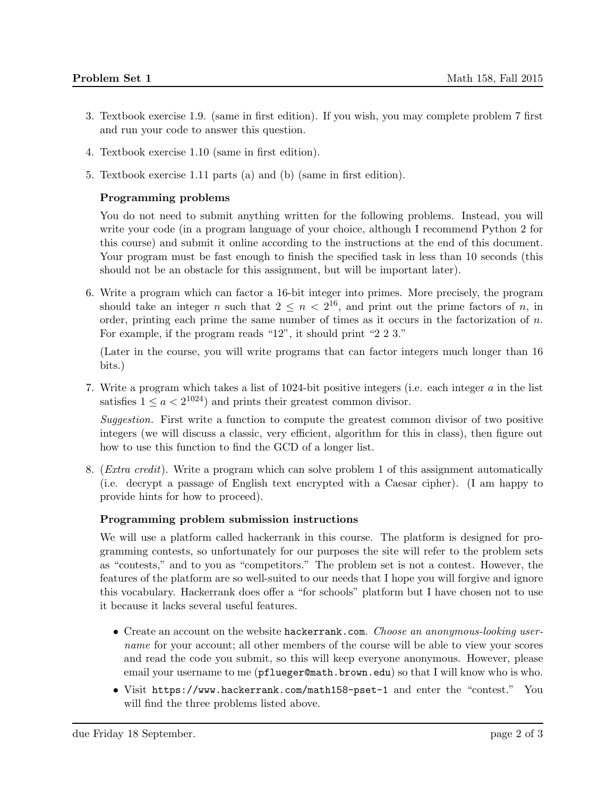- 3. Textbook exercise 1.9. (same in first edition). If you wish, you may complete problem 7 first and run your code to answer this question.
- 4. Textbook exercise 1.10 (same in first edition).
- 5. Textbook exercise 1.11 parts (a) and (b) (same in first edition).

# Programming problems

You do not need to submit anything written for the following problems. Instead, you will write your code (in a program language of your choice, although I recommend Python 2 for this course) and submit it online according to the instructions at the end of this document. Your program must be fast enough to finish the specified task in less than 10 seconds (this should not be an obstacle for this assignment, but will be important later).

6. Write a program which can factor a 16-bit integer into primes. More precisely, the program should take an integer n such that  $2 \leq n < 2^{16}$ , and print out the prime factors of n, in order, printing each prime the same number of times as it occurs in the factorization of  $n$ . For example, if the program reads "12", it should print "2 2 3."

(Later in the course, you will write programs that can factor integers much longer than 16 bits.)

7. Write a program which takes a list of 1024-bit positive integers (i.e. each integer a in the list satisfies  $1 \le a < 2^{1024}$  and prints their greatest common divisor.

Suggestion. First write a function to compute the greatest common divisor of two positive integers (we will discuss a classic, very efficient, algorithm for this in class), then figure out how to use this function to find the GCD of a longer list.

8. (Extra credit). Write a program which can solve problem 1 of this assignment automatically (i.e. decrypt a passage of English text encrypted with a Caesar cipher). (I am happy to provide hints for how to proceed).

# Programming problem submission instructions

We will use a platform called hackerrank in this course. The platform is designed for programming contests, so unfortunately for our purposes the site will refer to the problem sets as "contests," and to you as "competitors." The problem set is not a contest. However, the features of the platform are so well-suited to our needs that I hope you will forgive and ignore this vocabulary. Hackerrank does offer a "for schools" platform but I have chosen not to use it because it lacks several useful features.

- Create an account on the website hackerrank.com. Choose an anonymous-looking username for your account; all other members of the course will be able to view your scores and read the code you submit, so this will keep everyone anonymous. However, please email your username to me (pflueger@math.brown.edu) so that I will know who is who.
- Visit https://www.hackerrank.com/math158-pset-1 and enter the "contest." You will find the three problems listed above.